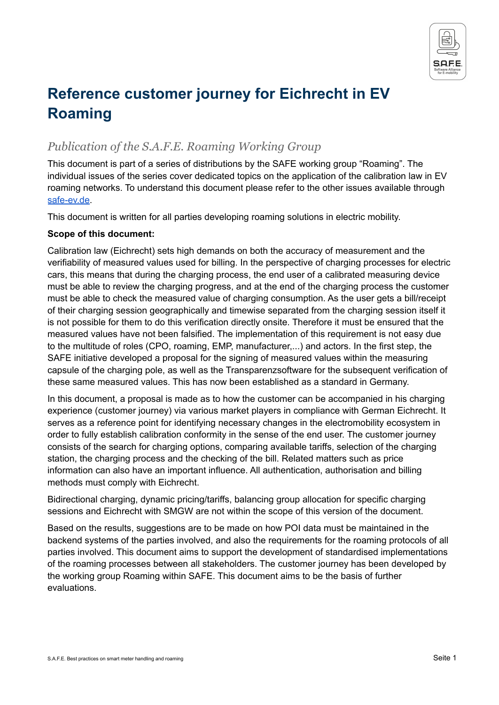

# **Reference customer journey for Eichrecht in EV Roaming**

### *Publication of the S.A.F.E. Roaming Working Group*

This document is part of a series of distributions by the SAFE working group "Roaming". The individual issues of the series cover dedicated topics on the application of the calibration law in EV roaming networks. To understand this document please refer to the other issues available through [safe-ev.de](https://www.safe-ev.de/de/).

This document is written for all parties developing roaming solutions in electric mobility.

#### **Scope of this document:**

Calibration law (Eichrecht) sets high demands on both the accuracy of measurement and the verifiability of measured values used for billing. In the perspective of charging processes for electric cars, this means that during the charging process, the end user of a calibrated measuring device must be able to review the charging progress, and at the end of the charging process the customer must be able to check the measured value of charging consumption. As the user gets a bill/receipt of their charging session geographically and timewise separated from the charging session itself it is not possible for them to do this verification directly onsite. Therefore it must be ensured that the measured values have not been falsified. The implementation of this requirement is not easy due to the multitude of roles (CPO, roaming, EMP, manufacturer,...) and actors. In the first step, the SAFE initiative developed a proposal for the signing of measured values within the measuring capsule of the charging pole, as well as the Transparenzsoftware for the subsequent verification of these same measured values. This has now been established as a standard in Germany.

In this document, a proposal is made as to how the customer can be accompanied in his charging experience (customer journey) via various market players in compliance with German Eichrecht. It serves as a reference point for identifying necessary changes in the electromobility ecosystem in order to fully establish calibration conformity in the sense of the end user. The customer journey consists of the search for charging options, comparing available tariffs, selection of the charging station, the charging process and the checking of the bill. Related matters such as price information can also have an important influence. All authentication, authorisation and billing methods must comply with Eichrecht.

Bidirectional charging, dynamic pricing/tariffs, balancing group allocation for specific charging sessions and Eichrecht with SMGW are not within the scope of this version of the document.

Based on the results, suggestions are to be made on how POI data must be maintained in the backend systems of the parties involved, and also the requirements for the roaming protocols of all parties involved. This document aims to support the development of standardised implementations of the roaming processes between all stakeholders. The customer journey has been developed by the working group Roaming within SAFE. This document aims to be the basis of further evaluations.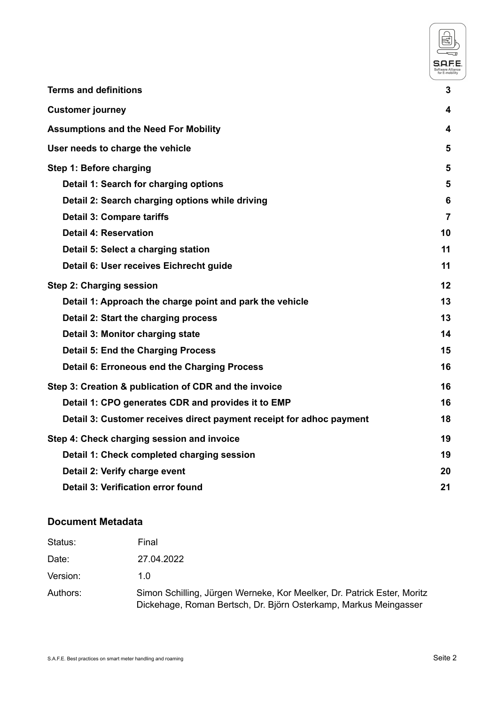|                                                                      | S.A.F          |
|----------------------------------------------------------------------|----------------|
| <b>Terms and definitions</b>                                         | 3              |
| <b>Customer journey</b>                                              | 4              |
| <b>Assumptions and the Need For Mobility</b>                         | 4              |
| User needs to charge the vehicle                                     | 5              |
| Step 1: Before charging                                              | 5              |
| Detail 1: Search for charging options                                | 5              |
| Detail 2: Search charging options while driving                      | 6              |
| <b>Detail 3: Compare tariffs</b>                                     | $\overline{7}$ |
| <b>Detail 4: Reservation</b>                                         | 10             |
| Detail 5: Select a charging station                                  | 11             |
| Detail 6: User receives Eichrecht guide                              | 11             |
| Step 2: Charging session                                             | 12             |
| Detail 1: Approach the charge point and park the vehicle             | 13             |
| Detail 2: Start the charging process                                 | 13             |
| Detail 3: Monitor charging state                                     | 14             |
| <b>Detail 5: End the Charging Process</b>                            | 15             |
| Detail 6: Erroneous end the Charging Process                         | 16             |
| Step 3: Creation & publication of CDR and the invoice                | 16             |
| Detail 1: CPO generates CDR and provides it to EMP                   | 16             |
| Detail 3: Customer receives direct payment receipt for adhoc payment | 18             |
| Step 4: Check charging session and invoice                           | 19             |
| Detail 1: Check completed charging session                           | 19             |
| Detail 2: Verify charge event                                        | 20             |
| Detail 3: Verification error found                                   | 21             |

### **Document Metadata**

| Status:  | Final                                                                                                                                       |
|----------|---------------------------------------------------------------------------------------------------------------------------------------------|
| Date:    | 27.04.2022                                                                                                                                  |
| Version: | 1. $\Omega$                                                                                                                                 |
| Authors: | Simon Schilling, Jürgen Werneke, Kor Meelker, Dr. Patrick Ester, Moritz<br>Dickehage, Roman Bertsch, Dr. Björn Osterkamp, Markus Meingasser |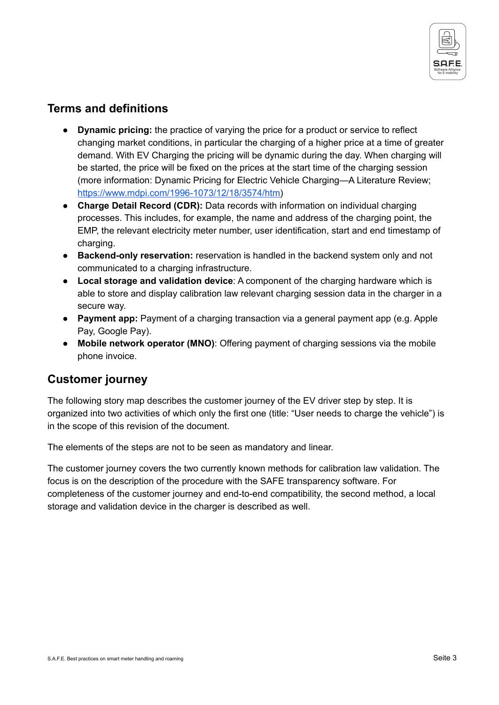

### <span id="page-2-0"></span>**Terms and definitions**

- **Dynamic pricing:** the practice of varying the price for a product or service to reflect changing market conditions, in particular the charging of a higher price at a time of greater demand. With EV Charging the pricing will be dynamic during the day. When charging will be started, the price will be fixed on the prices at the start time of the charging session (more information: Dynamic Pricing for Electric Vehicle Charging—A Literature Review; [https://www.mdpi.com/1996-1073/12/18/3574/htm\)](https://www.mdpi.com/1996-1073/12/18/3574/htm)
- **Charge Detail Record (CDR):** Data records with information on individual charging processes. This includes, for example, the name and address of the charging point, the EMP, the relevant electricity meter number, user identification, start and end timestamp of charging.
- **Backend-only reservation:** reservation is handled in the backend system only and not communicated to a charging infrastructure.
- **Local storage and validation device**: A component of the charging hardware which is able to store and display calibration law relevant charging session data in the charger in a secure way.
- **Payment app:** Payment of a charging transaction via a general payment app (e.g. Apple Pay, Google Pay).
- **Mobile network operator (MNO)**: Offering payment of charging sessions via the mobile phone invoice.

### <span id="page-2-1"></span>**Customer journey**

The following story map describes the customer journey of the EV driver step by step. It is organized into two activities of which only the first one (title: "User needs to charge the vehicle") is in the scope of this revision of the document.

The elements of the steps are not to be seen as mandatory and linear.

The customer journey covers the two currently known methods for calibration law validation. The focus is on the description of the procedure with the SAFE transparency software. For completeness of the customer journey and end-to-end compatibility, the second method, a local storage and validation device in the charger is described as well.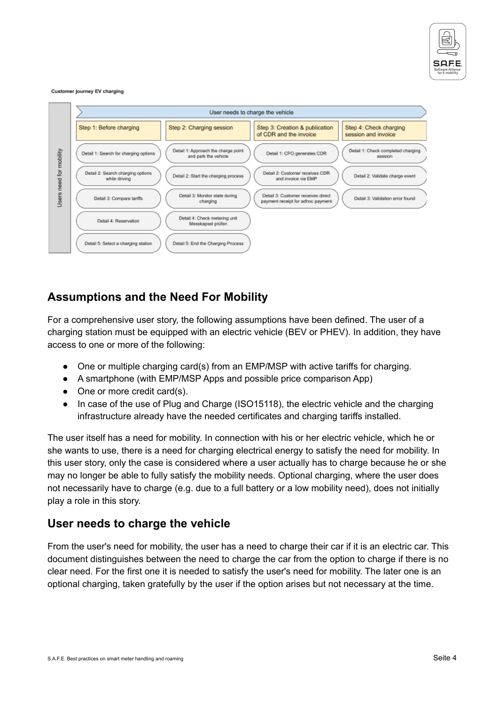

#### Customer journey EV charging



### <span id="page-3-0"></span>**Assumptions and the Need For Mobility**

For a comprehensive user story, the following assumptions have been defined. The user of a charging station must be equipped with an electric vehicle (BEV or PHEV). In addition, they have access to one or more of the following:

- One or multiple charging card(s) from an EMP/MSP with active tariffs for charging.
- A smartphone (with EMP/MSP Apps and possible price comparison App)
- One or more credit card(s).
- In case of the use of Plug and Charge (ISO15118), the electric vehicle and the charging infrastructure already have the needed certificates and charging tariffs installed.

The user itself has a need for mobility. In connection with his or her electric vehicle, which he or she wants to use, there is a need for charging electrical energy to satisfy the need for mobility. In this user story, only the case is considered where a user actually has to charge because he or she may no longer be able to fully satisfy the mobility needs. Optional charging, where the user does not necessarily have to charge (e.g. due to a full battery or a low mobility need), does not initially play a role in this story.

### <span id="page-3-1"></span>**User needs to charge the vehicle**

From the user's need for mobility, the user has a need to charge their car if it is an electric car. This document distinguishes between the need to charge the car from the option to charge if there is no clear need. For the first one it is needed to satisfy the user's need for mobility. The later one is an optional charging, taken gratefully by the user if the option arises but not necessary at the time.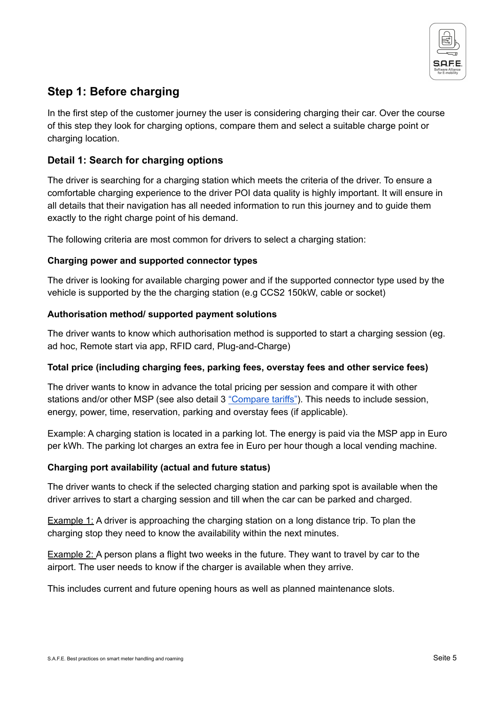

## <span id="page-4-0"></span>**Step 1: Before charging**

In the first step of the customer journey the user is considering charging their car. Over the course of this step they look for charging options, compare them and select a suitable charge point or charging location.

#### <span id="page-4-1"></span>**Detail 1: Search for charging options**

The driver is searching for a charging station which meets the criteria of the driver. To ensure a comfortable charging experience to the driver POI data quality is highly important. It will ensure in all details that their navigation has all needed information to run this journey and to guide them exactly to the right charge point of his demand.

The following criteria are most common for drivers to select a charging station:

#### **Charging power and supported connector types**

The driver is looking for available charging power and if the supported connector type used by the vehicle is supported by the the charging station (e.g CCS2 150kW, cable or socket)

#### **Authorisation method/ supported payment solutions**

The driver wants to know which authorisation method is supported to start a charging session (eg. ad hoc, Remote start via app, RFID card, Plug-and-Charge)

#### **Total price (including charging fees, parking fees, overstay fees and other service fees)**

The driver wants to know in advance the total pricing per session and compare it with other stations and/or other MSP (see also detail 3 ["Compare](https://docs.google.com/document/d/1jkmXDdRj0imv0VBu5lV5Z-OBrewKc3awZuPW-f1nC-s/edit#heading=h.bkn3ekfbkkn4) tariffs"). This needs to include session, energy, power, time, reservation, parking and overstay fees (if applicable).

Example: A charging station is located in a parking lot. The energy is paid via the MSP app in Euro per kWh. The parking lot charges an extra fee in Euro per hour though a local vending machine.

#### **Charging port availability (actual and future status)**

The driver wants to check if the selected charging station and parking spot is available when the driver arrives to start a charging session and till when the car can be parked and charged.

Example 1: A driver is approaching the charging station on a long distance trip. To plan the charging stop they need to know the availability within the next minutes.

Example 2: A person plans a flight two weeks in the future. They want to travel by car to the airport. The user needs to know if the charger is available when they arrive.

This includes current and future opening hours as well as planned maintenance slots.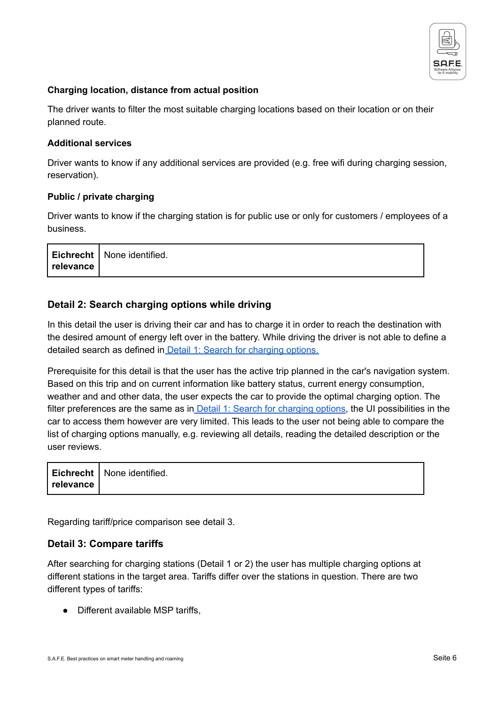

#### **Charging location, distance from actual position**

The driver wants to filter the most suitable charging locations based on their location or on their planned route.

#### **Additional services**

Driver wants to know if any additional services are provided (e.g. free wifi during charging session, reservation).

#### **Public / private charging**

Driver wants to know if the charging station is for public use or only for customers / employees of a business.

|              | Eichrecht   None identified. |  |
|--------------|------------------------------|--|
| ' relevance, |                              |  |

#### <span id="page-5-0"></span>**Detail 2: Search charging options while driving**

In this detail the user is driving their car and has to charge it in order to reach the destination with the desired amount of energy left over in the battery. While driving the driver is not able to define a detailed search as defined in Detail 1: Search for [charging](#page-4-1) options.

Prerequisite for this detail is that the user has the active trip planned in the car's navigation system. Based on this trip and on current information like battery status, current energy consumption, weather and and other data, the user expects the car to provide the optimal charging option. The filter preferences are the same as in Detail 1: Search for [charging](#page-4-1) options, the UI possibilities in the car to access them however are very limited. This leads to the user not being able to compare the list of charging options manually, e.g. reviewing all details, reading the detailed description or the user reviews.

|               | Eichrecht   None identified. |
|---------------|------------------------------|
| ∣ relevance ∣ |                              |

Regarding tariff/price comparison see detail 3.

#### <span id="page-5-1"></span>**Detail 3: Compare tariffs**

After searching for charging stations (Detail 1 or 2) the user has multiple charging options at different stations in the target area. Tariffs differ over the stations in question. There are two different types of tariffs:

● Different available MSP tariffs.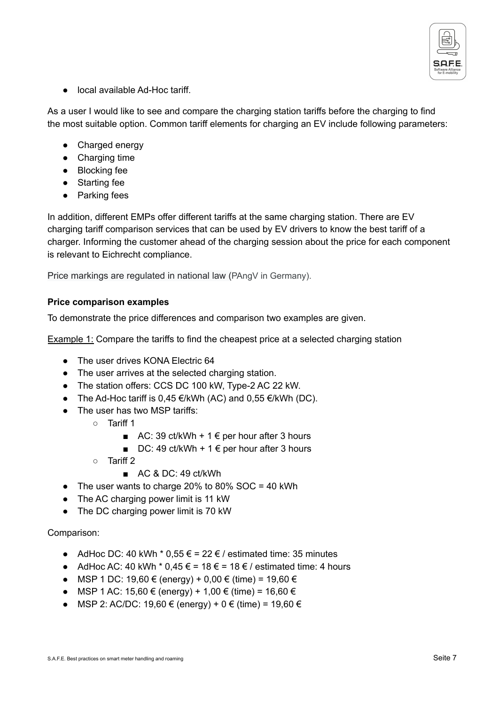

● local available Ad-Hoc tariff

As a user I would like to see and compare the charging station tariffs before the charging to find the most suitable option. Common tariff elements for charging an EV include following parameters:

- Charged energy
- Charging time
- Blocking fee
- Starting fee
- Parking fees

In addition, different EMPs offer different tariffs at the same charging station. There are EV charging tariff comparison services that can be used by EV drivers to know the best tariff of a charger. Informing the customer ahead of the charging session about the price for each component is relevant to Eichrecht compliance.

Price markings are regulated in national law (PAngV in Germany).

#### **Price comparison examples**

To demonstrate the price differences and comparison two examples are given.

Example 1: Compare the tariffs to find the cheapest price at a selected charging station

- The user drives KONA Electric 64
- The user arrives at the selected charging station.
- The station offers: CCS DC 100 kW, Type-2 AC 22 kW.
- The Ad-Hoc tariff is  $0.45 \in \times$  KWh (AC) and  $0.55 \in \times$  KWh (DC).
- The user has two MSP tariffs:
	- Tariff 1
		- AC: 39 ct/kWh + 1  $\epsilon$  per hour after 3 hours
		- DC: 49 ct/kWh + 1  $∈$  per hour after 3 hours
	- Tariff 2
		- AC & DC: 49 ct/kWh
- $\bullet$  The user wants to charge 20% to 80% SOC = 40 kWh
- The AC charging power limit is 11 kW
- The DC charging power limit is 70 kW

#### Comparison:

- AdHoc DC: 40 kWh  $*$  0,55 € = 22 € / estimated time: 35 minutes
- $\bullet$  AdHoc AC: 40 kWh  $*$  0,45 € = 18 € = 18 € / estimated time: 4 hours
- MSP 1 DC: 19,60 € (energy) + 0,00 € (time) = 19,60 €
- MSP 1 AC: 15,60 € (energy) + 1,00 € (time) = 16,60 €
- MSP 2: AC/DC: 19,60 € (energy) + 0 € (time) = 19,60 €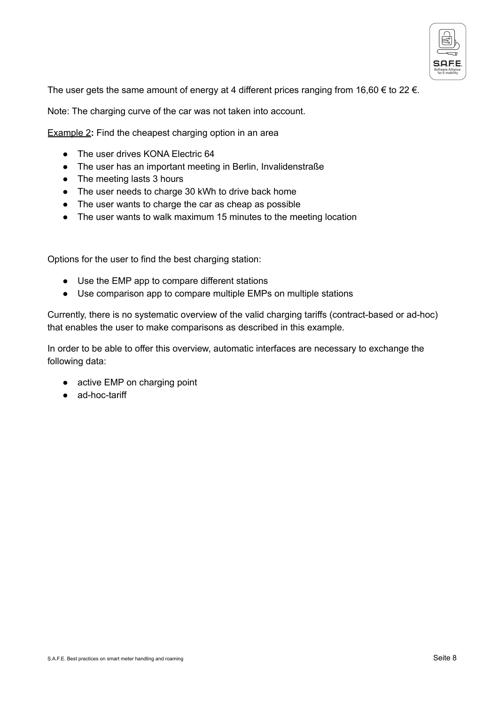

The user gets the same amount of energy at 4 different prices ranging from 16,60  $\epsilon$  to 22  $\epsilon$ .

Note: The charging curve of the car was not taken into account.

**Example 2:** Find the cheapest charging option in an area

- The user drives KONA Electric 64
- The user has an important meeting in Berlin, Invalidenstraße
- The meeting lasts 3 hours
- The user needs to charge 30 kWh to drive back home
- The user wants to charge the car as cheap as possible
- The user wants to walk maximum 15 minutes to the meeting location

Options for the user to find the best charging station:

- Use the EMP app to compare different stations
- Use comparison app to compare multiple EMPs on multiple stations

Currently, there is no systematic overview of the valid charging tariffs (contract-based or ad-hoc) that enables the user to make comparisons as described in this example.

In order to be able to offer this overview, automatic interfaces are necessary to exchange the following data:

- active EMP on charging point
- ad-hoc-tariff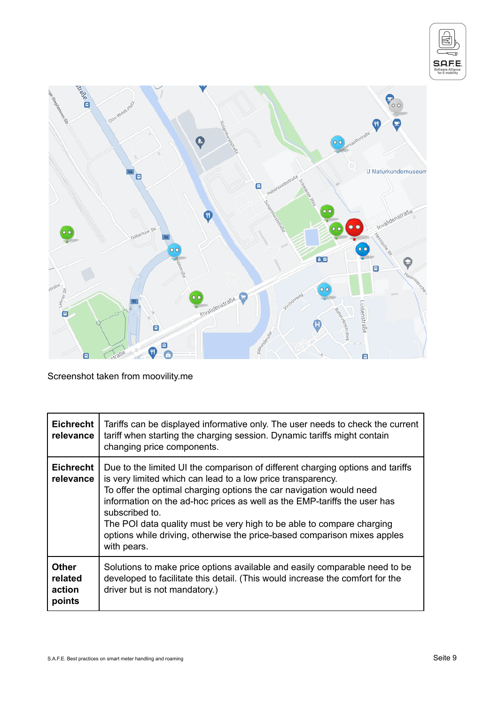



Screenshot taken from moovility.me

| <b>Eichrecht</b><br>relevance               | Tariffs can be displayed informative only. The user needs to check the current<br>tariff when starting the charging session. Dynamic tariffs might contain<br>changing price components.                                                                                                                                                                                                                                                                                               |
|---------------------------------------------|----------------------------------------------------------------------------------------------------------------------------------------------------------------------------------------------------------------------------------------------------------------------------------------------------------------------------------------------------------------------------------------------------------------------------------------------------------------------------------------|
| <b>Eichrecht</b><br>relevance               | Due to the limited UI the comparison of different charging options and tariffs<br>is very limited which can lead to a low price transparency.<br>To offer the optimal charging options the car navigation would need<br>information on the ad-hoc prices as well as the EMP-tariffs the user has<br>subscribed to.<br>The POI data quality must be very high to be able to compare charging<br>options while driving, otherwise the price-based comparison mixes apples<br>with pears. |
| <b>Other</b><br>related<br>action<br>points | Solutions to make price options available and easily comparable need to be<br>developed to facilitate this detail. (This would increase the comfort for the<br>driver but is not mandatory.)                                                                                                                                                                                                                                                                                           |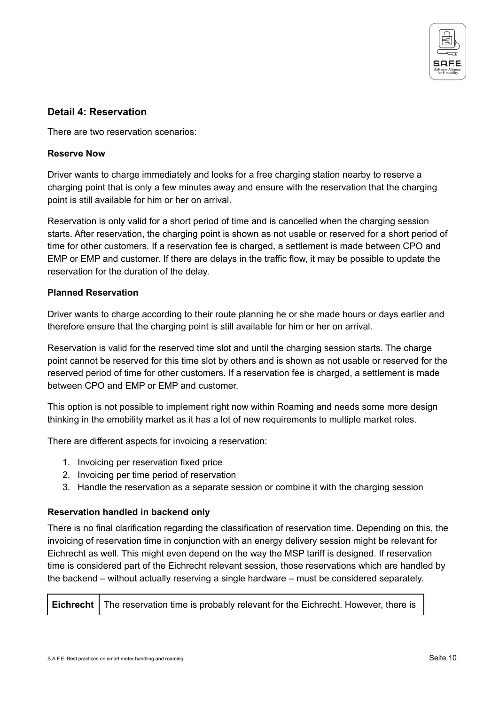

#### <span id="page-9-0"></span>**Detail 4: Reservation**

There are two reservation scenarios:

#### **Reserve Now**

Driver wants to charge immediately and looks for a free charging station nearby to reserve a charging point that is only a few minutes away and ensure with the reservation that the charging point is still available for him or her on arrival.

Reservation is only valid for a short period of time and is cancelled when the charging session starts. After reservation, the charging point is shown as not usable or reserved for a short period of time for other customers. If a reservation fee is charged, a settlement is made between CPO and EMP or EMP and customer. If there are delays in the traffic flow, it may be possible to update the reservation for the duration of the delay.

#### **Planned Reservation**

Driver wants to charge according to their route planning he or she made hours or days earlier and therefore ensure that the charging point is still available for him or her on arrival.

Reservation is valid for the reserved time slot and until the charging session starts. The charge point cannot be reserved for this time slot by others and is shown as not usable or reserved for the reserved period of time for other customers. If a reservation fee is charged, a settlement is made between CPO and EMP or EMP and customer.

This option is not possible to implement right now within Roaming and needs some more design thinking in the emobility market as it has a lot of new requirements to multiple market roles.

There are different aspects for invoicing a reservation:

- 1. Invoicing per reservation fixed price
- 2. Invoicing per time period of reservation
- 3. Handle the reservation as a separate session or combine it with the charging session

#### **Reservation handled in backend only**

There is no final clarification regarding the classification of reservation time. Depending on this, the invoicing of reservation time in conjunction with an energy delivery session might be relevant for Eichrecht as well. This might even depend on the way the MSP tariff is designed. If reservation time is considered part of the Eichrecht relevant session, those reservations which are handled by the backend – without actually reserving a single hardware – must be considered separately.

|  | <b>Eichrecht</b>   The reservation time is probably relevant for the Eichrecht. However, there is |
|--|---------------------------------------------------------------------------------------------------|
|--|---------------------------------------------------------------------------------------------------|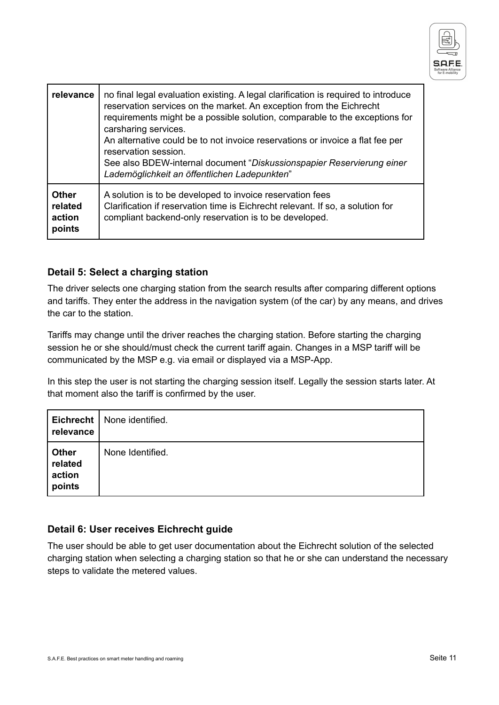

| relevance                                   | no final legal evaluation existing. A legal clarification is required to introduce<br>reservation services on the market. An exception from the Eichrecht<br>requirements might be a possible solution, comparable to the exceptions for<br>carsharing services.<br>An alternative could be to not invoice reservations or invoice a flat fee per<br>reservation session.<br>See also BDEW-internal document "Diskussionspapier Reservierung einer<br>Lademöglichkeit an öffentlichen Ladepunkten" |
|---------------------------------------------|----------------------------------------------------------------------------------------------------------------------------------------------------------------------------------------------------------------------------------------------------------------------------------------------------------------------------------------------------------------------------------------------------------------------------------------------------------------------------------------------------|
| <b>Other</b><br>related<br>action<br>points | A solution is to be developed to invoice reservation fees<br>Clarification if reservation time is Eichrecht relevant. If so, a solution for<br>compliant backend-only reservation is to be developed.                                                                                                                                                                                                                                                                                              |

#### <span id="page-10-0"></span>**Detail 5: Select a charging station**

The driver selects one charging station from the search results after comparing different options and tariffs. They enter the address in the navigation system (of the car) by any means, and drives the car to the station.

Tariffs may change until the driver reaches the charging station. Before starting the charging session he or she should/must check the current tariff again. Changes in a MSP tariff will be communicated by the MSP e.g. via email or displayed via a MSP-App.

In this step the user is not starting the charging session itself. Legally the session starts later. At that moment also the tariff is confirmed by the user.

| relevance                                   | Eichrecht   None identified. |
|---------------------------------------------|------------------------------|
| <b>Other</b><br>related<br>action<br>points | None Identified.             |

#### <span id="page-10-1"></span>**Detail 6: User receives Eichrecht guide**

The user should be able to get user documentation about the Eichrecht solution of the selected charging station when selecting a charging station so that he or she can understand the necessary steps to validate the metered values.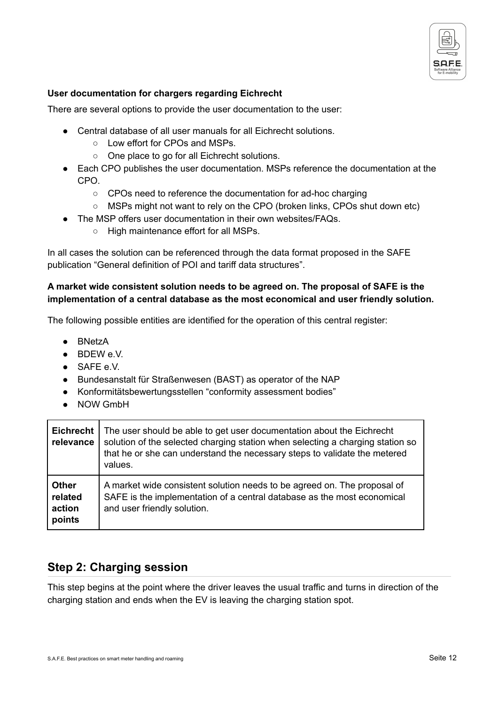

#### **User documentation for chargers regarding Eichrecht**

There are several options to provide the user documentation to the user:

- Central database of all user manuals for all Eichrecht solutions.
	- Low effort for CPOs and MSPs.
	- One place to go for all Eichrecht solutions.
- Each CPO publishes the user documentation. MSPs reference the documentation at the CPO.
	- CPOs need to reference the documentation for ad-hoc charging
	- MSPs might not want to rely on the CPO (broken links, CPOs shut down etc)
- The MSP offers user documentation in their own websites/FAQs.
	- High maintenance effort for all MSPs.

In all cases the solution can be referenced through the data format proposed in the SAFE publication "General definition of POI and tariff data structures".

#### **A market wide consistent solution needs to be agreed on. The proposal of SAFE is the implementation of a central database as the most economical and user friendly solution.**

The following possible entities are identified for the operation of this central register:

- BNetzA
- BDEW e.V.
- SAFE e.V.
- Bundesanstalt für Straßenwesen (BAST) as operator of the NAP
- Konformitätsbewertungsstellen "conformity assessment bodies"
- NOW GmbH

| <b>Eichrecht</b><br>relevance               | The user should be able to get user documentation about the Eichrecht<br>solution of the selected charging station when selecting a charging station so<br>that he or she can understand the necessary steps to validate the metered<br>values. |
|---------------------------------------------|-------------------------------------------------------------------------------------------------------------------------------------------------------------------------------------------------------------------------------------------------|
| <b>Other</b><br>related<br>action<br>points | A market wide consistent solution needs to be agreed on. The proposal of<br>SAFE is the implementation of a central database as the most economical<br>and user friendly solution.                                                              |

### <span id="page-11-0"></span>**Step 2: Charging session**

This step begins at the point where the driver leaves the usual traffic and turns in direction of the charging station and ends when the EV is leaving the charging station spot.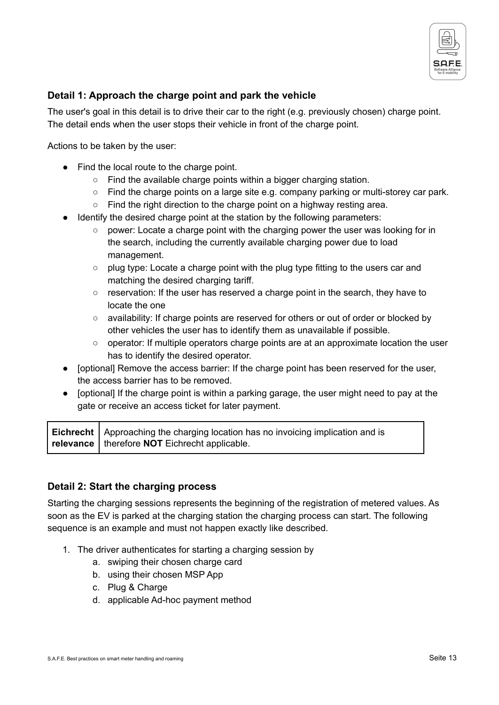

### <span id="page-12-0"></span>**Detail 1: Approach the charge point and park the vehicle**

The user's goal in this detail is to drive their car to the right (e.g. previously chosen) charge point. The detail ends when the user stops their vehicle in front of the charge point.

Actions to be taken by the user:

- Find the local route to the charge point.
	- Find the available charge points within a bigger charging station.
	- Find the charge points on a large site e.g. company parking or multi-storey car park.
	- Find the right direction to the charge point on a highway resting area.
- Identify the desired charge point at the station by the following parameters:
	- $\circ$  power: Locate a charge point with the charging power the user was looking for in the search, including the currently available charging power due to load management.
	- $\circ$  plug type: Locate a charge point with the plug type fitting to the users car and matching the desired charging tariff.
	- reservation: If the user has reserved a charge point in the search, they have to locate the one
	- availability: If charge points are reserved for others or out of order or blocked by other vehicles the user has to identify them as unavailable if possible.
	- operator: If multiple operators charge points are at an approximate location the user has to identify the desired operator.
- [optional] Remove the access barrier: If the charge point has been reserved for the user, the access barrier has to be removed.
- [optional] If the charge point is within a parking garage, the user might need to pay at the gate or receive an access ticket for later payment.

**Eichrecht relevance** Approaching the charging location has no invoicing implication and is therefore **NOT** Eichrecht applicable.

#### <span id="page-12-1"></span>**Detail 2: Start the charging process**

Starting the charging sessions represents the beginning of the registration of metered values. As soon as the EV is parked at the charging station the charging process can start. The following sequence is an example and must not happen exactly like described.

- 1. The driver authenticates for starting a charging session by
	- a. swiping their chosen charge card
	- b. using their chosen MSP App
	- c. Plug & Charge
	- d. applicable Ad-hoc payment method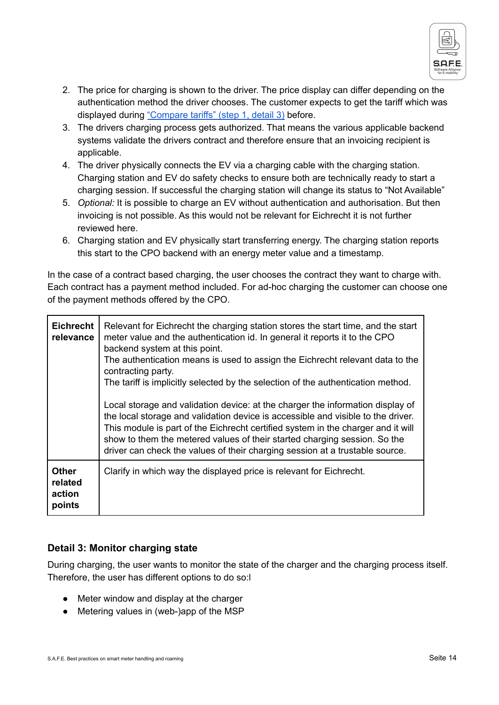

- 2. The price for charging is shown to the driver. The price display can differ depending on the authentication method the driver chooses. The customer expects to get the tariff which was displayed during ["Compare](#page-5-1) tariffs" (step 1, detail 3) before.
- 3. The drivers charging process gets authorized. That means the various applicable backend systems validate the drivers contract and therefore ensure that an invoicing recipient is applicable.
- 4. The driver physically connects the EV via a charging cable with the charging station. Charging station and EV do safety checks to ensure both are technically ready to start a charging session. If successful the charging station will change its status to "Not Available"
- 5. *Optional:* It is possible to charge an EV without authentication and authorisation. But then invoicing is not possible. As this would not be relevant for Eichrecht it is not further reviewed here.
- 6. Charging station and EV physically start transferring energy. The charging station reports this start to the CPO backend with an energy meter value and a timestamp.

In the case of a contract based charging, the user chooses the contract they want to charge with. Each contract has a payment method included. For ad-hoc charging the customer can choose one of the payment methods offered by the CPO.

| <b>Eichrecht</b><br>relevance               | Relevant for Eichrecht the charging station stores the start time, and the start<br>meter value and the authentication id. In general it reports it to the CPO<br>backend system at this point.<br>The authentication means is used to assign the Eichrecht relevant data to the<br>contracting party.<br>The tariff is implicitly selected by the selection of the authentication method.<br>Local storage and validation device: at the charger the information display of<br>the local storage and validation device is accessible and visible to the driver.<br>This module is part of the Eichrecht certified system in the charger and it will<br>show to them the metered values of their started charging session. So the<br>driver can check the values of their charging session at a trustable source. |
|---------------------------------------------|-------------------------------------------------------------------------------------------------------------------------------------------------------------------------------------------------------------------------------------------------------------------------------------------------------------------------------------------------------------------------------------------------------------------------------------------------------------------------------------------------------------------------------------------------------------------------------------------------------------------------------------------------------------------------------------------------------------------------------------------------------------------------------------------------------------------|
| <b>Other</b><br>related<br>action<br>points | Clarify in which way the displayed price is relevant for Eichrecht.                                                                                                                                                                                                                                                                                                                                                                                                                                                                                                                                                                                                                                                                                                                                               |

### <span id="page-13-0"></span>**Detail 3: Monitor charging state**

During charging, the user wants to monitor the state of the charger and the charging process itself. Therefore, the user has different options to do so:l

- Meter window and display at the charger
- Metering values in (web-)app of the MSP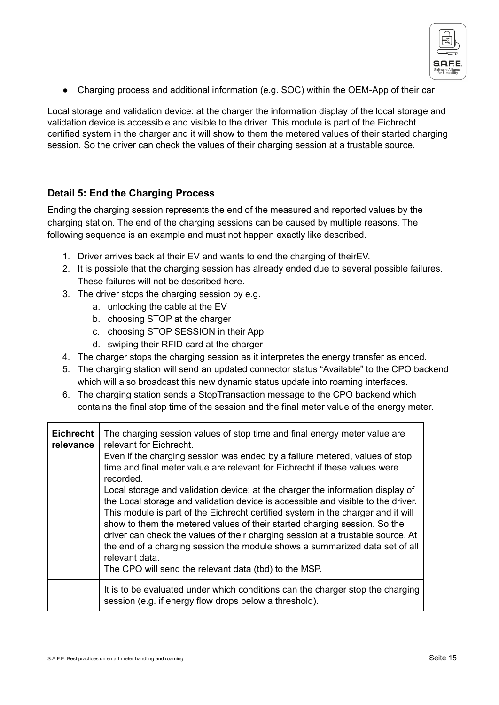

• Charging process and additional information (e.g. SOC) within the OEM-App of their car

Local storage and validation device: at the charger the information display of the local storage and validation device is accessible and visible to the driver. This module is part of the Eichrecht certified system in the charger and it will show to them the metered values of their started charging session. So the driver can check the values of their charging session at a trustable source.

### <span id="page-14-0"></span>**Detail 5: End the Charging Process**

Ending the charging session represents the end of the measured and reported values by the charging station. The end of the charging sessions can be caused by multiple reasons. The following sequence is an example and must not happen exactly like described.

- 1. Driver arrives back at their EV and wants to end the charging of theirEV.
- 2. It is possible that the charging session has already ended due to several possible failures. These failures will not be described here.
- 3. The driver stops the charging session by e.g.
	- a. unlocking the cable at the EV
	- b. choosing STOP at the charger
	- c. choosing STOP SESSION in their App
	- d. swiping their RFID card at the charger
- 4. The charger stops the charging session as it interpretes the energy transfer as ended.
- 5. The charging station will send an updated connector status "Available" to the CPO backend which will also broadcast this new dynamic status update into roaming interfaces.
- 6. The charging station sends a StopTransaction message to the CPO backend which contains the final stop time of the session and the final meter value of the energy meter.

| <b>Eichrecht</b><br>relevance | The charging session values of stop time and final energy meter value are<br>relevant for Eichrecht.<br>Even if the charging session was ended by a failure metered, values of stop<br>time and final meter value are relevant for Eichrecht if these values were<br>recorded.<br>Local storage and validation device: at the charger the information display of<br>the Local storage and validation device is accessible and visible to the driver.<br>This module is part of the Eichrecht certified system in the charger and it will<br>show to them the metered values of their started charging session. So the<br>driver can check the values of their charging session at a trustable source. At<br>the end of a charging session the module shows a summarized data set of all<br>relevant data.<br>The CPO will send the relevant data (tbd) to the MSP. |
|-------------------------------|--------------------------------------------------------------------------------------------------------------------------------------------------------------------------------------------------------------------------------------------------------------------------------------------------------------------------------------------------------------------------------------------------------------------------------------------------------------------------------------------------------------------------------------------------------------------------------------------------------------------------------------------------------------------------------------------------------------------------------------------------------------------------------------------------------------------------------------------------------------------|
|                               | It is to be evaluated under which conditions can the charger stop the charging<br>session (e.g. if energy flow drops below a threshold).                                                                                                                                                                                                                                                                                                                                                                                                                                                                                                                                                                                                                                                                                                                           |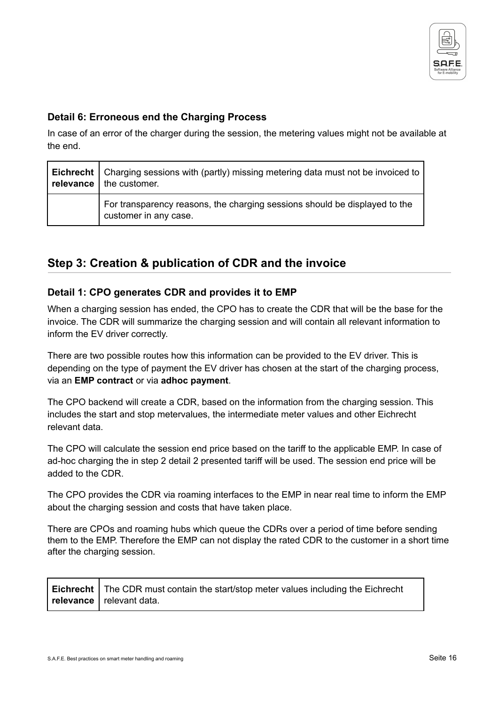

#### <span id="page-15-0"></span>**Detail 6: Erroneous end the Charging Process**

In case of an error of the charger during the session, the metering values might not be available at the end.

| <b>Eichrecht</b>   Charging sessions with (partly) missing metering data must not be invoiced to  <br>relevance $ $ the customer. |  |
|-----------------------------------------------------------------------------------------------------------------------------------|--|
| For transparency reasons, the charging sessions should be displayed to the<br>customer in any case.                               |  |

### <span id="page-15-1"></span>**Step 3: Creation & publication of CDR and the invoice**

#### <span id="page-15-2"></span>**Detail 1: CPO generates CDR and provides it to EMP**

When a charging session has ended, the CPO has to create the CDR that will be the base for the invoice. The CDR will summarize the charging session and will contain all relevant information to inform the EV driver correctly.

There are two possible routes how this information can be provided to the EV driver. This is depending on the type of payment the EV driver has chosen at the start of the charging process, via an **EMP contract** or via **adhoc payment**.

The CPO backend will create a CDR, based on the information from the charging session. This includes the start and stop metervalues, the intermediate meter values and other Eichrecht relevant data.

The CPO will calculate the session end price based on the tariff to the applicable EMP. In case of ad-hoc charging the in step 2 detail 2 presented tariff will be used. The session end price will be added to the CDR.

The CPO provides the CDR via roaming interfaces to the EMP in near real time to inform the EMP about the charging session and costs that have taken place.

There are CPOs and roaming hubs which queue the CDRs over a period of time before sending them to the EMP. Therefore the EMP can not display the rated CDR to the customer in a short time after the charging session.

| Eichrecht   The CDR must contain the start/stop meter values including the Eichrecht |
|--------------------------------------------------------------------------------------|
| relevance   relevant data.                                                           |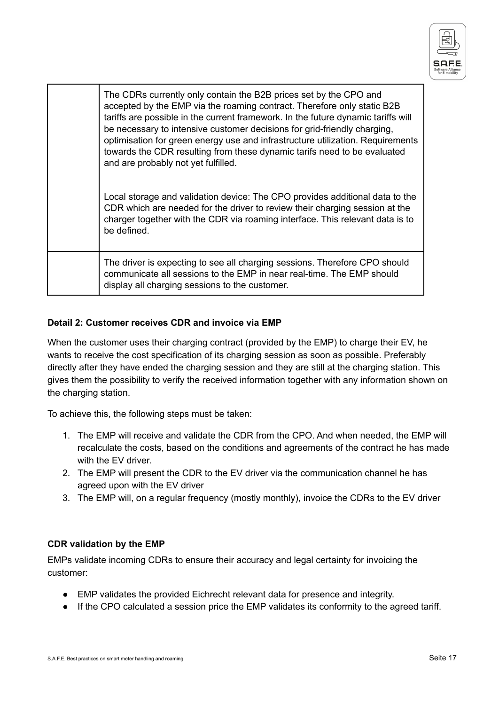

| The CDRs currently only contain the B2B prices set by the CPO and<br>accepted by the EMP via the roaming contract. Therefore only static B2B<br>tariffs are possible in the current framework. In the future dynamic tariffs will<br>be necessary to intensive customer decisions for grid-friendly charging,<br>optimisation for green energy use and infrastructure utilization. Requirements<br>towards the CDR resulting from these dynamic tarifs need to be evaluated<br>and are probably not yet fulfilled.<br>Local storage and validation device: The CPO provides additional data to the<br>CDR which are needed for the driver to review their charging session at the<br>charger together with the CDR via roaming interface. This relevant data is to<br>be defined. |
|-----------------------------------------------------------------------------------------------------------------------------------------------------------------------------------------------------------------------------------------------------------------------------------------------------------------------------------------------------------------------------------------------------------------------------------------------------------------------------------------------------------------------------------------------------------------------------------------------------------------------------------------------------------------------------------------------------------------------------------------------------------------------------------|
| The driver is expecting to see all charging sessions. Therefore CPO should<br>communicate all sessions to the EMP in near real-time. The EMP should<br>display all charging sessions to the customer.                                                                                                                                                                                                                                                                                                                                                                                                                                                                                                                                                                             |

#### **Detail 2: Customer receives CDR and invoice via EMP**

When the customer uses their charging contract (provided by the EMP) to charge their EV, he wants to receive the cost specification of its charging session as soon as possible. Preferably directly after they have ended the charging session and they are still at the charging station. This gives them the possibility to verify the received information together with any information shown on the charging station.

To achieve this, the following steps must be taken:

- 1. The EMP will receive and validate the CDR from the CPO. And when needed, the EMP will recalculate the costs, based on the conditions and agreements of the contract he has made with the EV driver.
- 2. The EMP will present the CDR to the EV driver via the communication channel he has agreed upon with the EV driver
- 3. The EMP will, on a regular frequency (mostly monthly), invoice the CDRs to the EV driver

#### **CDR validation by the EMP**

EMPs validate incoming CDRs to ensure their accuracy and legal certainty for invoicing the customer:

- EMP validates the provided Eichrecht relevant data for presence and integrity.
- If the CPO calculated a session price the EMP validates its conformity to the agreed tariff.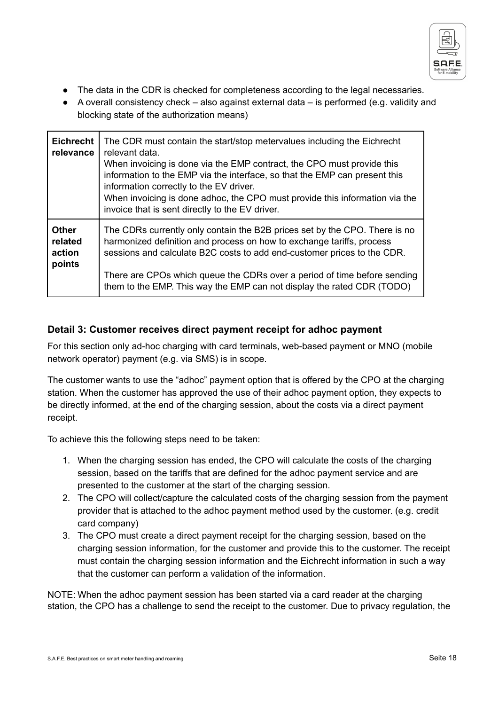

- The data in the CDR is checked for completeness according to the legal necessaries.
- A overall consistency check also against external data is performed (e.g. validity and blocking state of the authorization means)

| <b>Eichrecht</b><br>relevance               | The CDR must contain the start/stop metervalues including the Eichrecht<br>relevant data.<br>When invoicing is done via the EMP contract, the CPO must provide this<br>information to the EMP via the interface, so that the EMP can present this<br>information correctly to the EV driver.<br>When invoicing is done adhoc, the CPO must provide this information via the<br>invoice that is sent directly to the EV driver. |
|---------------------------------------------|--------------------------------------------------------------------------------------------------------------------------------------------------------------------------------------------------------------------------------------------------------------------------------------------------------------------------------------------------------------------------------------------------------------------------------|
| <b>Other</b><br>related<br>action<br>points | The CDRs currently only contain the B2B prices set by the CPO. There is no<br>harmonized definition and process on how to exchange tariffs, process<br>sessions and calculate B2C costs to add end-customer prices to the CDR.<br>There are CPOs which queue the CDRs over a period of time before sending<br>them to the EMP. This way the EMP can not display the rated CDR (TODO)                                           |

### <span id="page-17-0"></span>**Detail 3: Customer receives direct payment receipt for adhoc payment**

For this section only ad-hoc charging with card terminals, web-based payment or MNO (mobile network operator) payment (e.g. via SMS) is in scope.

The customer wants to use the "adhoc" payment option that is offered by the CPO at the charging station. When the customer has approved the use of their adhoc payment option, they expects to be directly informed, at the end of the charging session, about the costs via a direct payment receipt.

To achieve this the following steps need to be taken:

- 1. When the charging session has ended, the CPO will calculate the costs of the charging session, based on the tariffs that are defined for the adhoc payment service and are presented to the customer at the start of the charging session.
- 2. The CPO will collect/capture the calculated costs of the charging session from the payment provider that is attached to the adhoc payment method used by the customer. (e.g. credit card company)
- 3. The CPO must create a direct payment receipt for the charging session, based on the charging session information, for the customer and provide this to the customer. The receipt must contain the charging session information and the Eichrecht information in such a way that the customer can perform a validation of the information.

NOTE: When the adhoc payment session has been started via a card reader at the charging station, the CPO has a challenge to send the receipt to the customer. Due to privacy regulation, the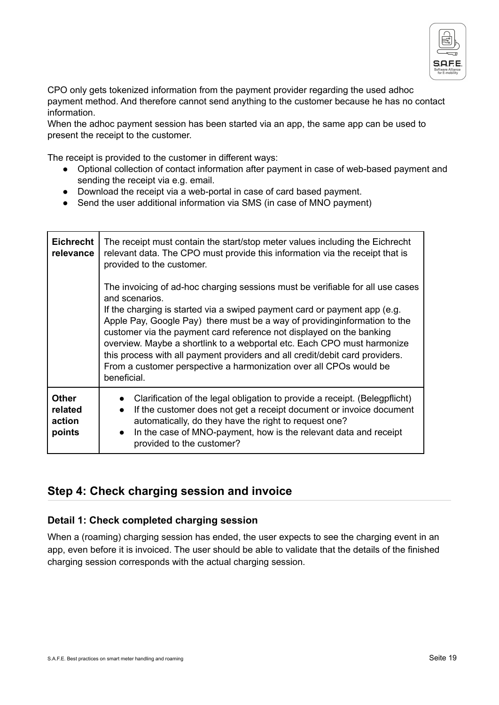

CPO only gets tokenized information from the payment provider regarding the used adhoc payment method. And therefore cannot send anything to the customer because he has no contact information.

When the adhoc payment session has been started via an app, the same app can be used to present the receipt to the customer.

The receipt is provided to the customer in different ways:

- Optional collection of contact information after payment in case of web-based payment and sending the receipt via e.g. email.
- Download the receipt via a web-portal in case of card based payment.
- Send the user additional information via SMS (in case of MNO payment)

| <b>Eichrecht</b><br>relevance               | The receipt must contain the start/stop meter values including the Eichrecht<br>relevant data. The CPO must provide this information via the receipt that is<br>provided to the customer.                                                                                                                                                                                                                                                                                                                                                                                           |
|---------------------------------------------|-------------------------------------------------------------------------------------------------------------------------------------------------------------------------------------------------------------------------------------------------------------------------------------------------------------------------------------------------------------------------------------------------------------------------------------------------------------------------------------------------------------------------------------------------------------------------------------|
|                                             | The invoicing of ad-hoc charging sessions must be verifiable for all use cases<br>and scenarios.<br>If the charging is started via a swiped payment card or payment app (e.g.<br>Apple Pay, Google Pay) there must be a way of providing information to the<br>customer via the payment card reference not displayed on the banking<br>overview. Maybe a shortlink to a webportal etc. Each CPO must harmonize<br>this process with all payment providers and all credit/debit card providers.<br>From a customer perspective a harmonization over all CPOs would be<br>beneficial. |
| <b>Other</b><br>related<br>action<br>points | Clarification of the legal obligation to provide a receipt. (Belegpflicht)<br>If the customer does not get a receipt document or invoice document<br>$\bullet$<br>automatically, do they have the right to request one?<br>In the case of MNO-payment, how is the relevant data and receipt<br>$\bullet$<br>provided to the customer?                                                                                                                                                                                                                                               |

### <span id="page-18-0"></span>**Step 4: Check charging session and invoice**

#### <span id="page-18-1"></span>**Detail 1: Check completed charging session**

When a (roaming) charging session has ended, the user expects to see the charging event in an app, even before it is invoiced. The user should be able to validate that the details of the finished charging session corresponds with the actual charging session.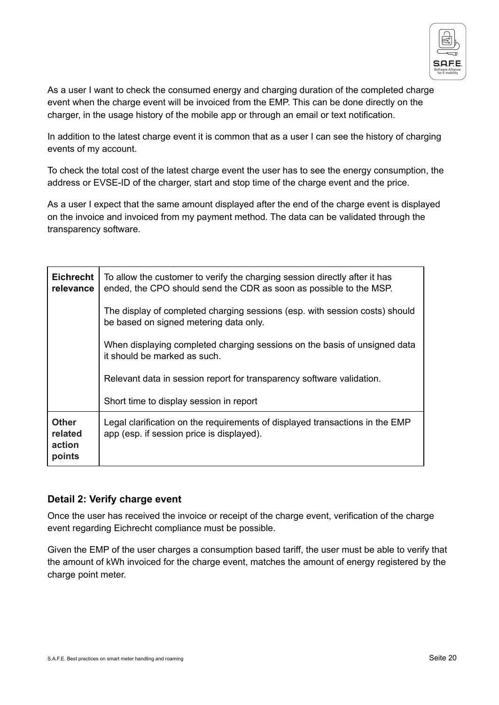

As a user I want to check the consumed energy and charging duration of the completed charge event when the charge event will be invoiced from the EMP. This can be done directly on the charger, in the usage history of the mobile app or through an email or text notification.

In addition to the latest charge event it is common that as a user I can see the history of charging events of my account.

To check the total cost of the latest charge event the user has to see the energy consumption, the address or EVSE-ID of the charger, start and stop time of the charge event and the price.

As a user I expect that the same amount displayed after the end of the charge event is displayed on the invoice and invoiced from my payment method. The data can be validated through the transparency software.

| <b>Eichrecht</b><br>relevance               | To allow the customer to verify the charging session directly after it has<br>ended, the CPO should send the CDR as soon as possible to the MSP. |
|---------------------------------------------|--------------------------------------------------------------------------------------------------------------------------------------------------|
|                                             | The display of completed charging sessions (esp. with session costs) should<br>be based on signed metering data only.                            |
|                                             | When displaying completed charging sessions on the basis of unsigned data<br>it should be marked as such.                                        |
|                                             | Relevant data in session report for transparency software validation.                                                                            |
|                                             | Short time to display session in report                                                                                                          |
| <b>Other</b><br>related<br>action<br>points | Legal clarification on the requirements of displayed transactions in the EMP<br>app (esp. if session price is displayed).                        |

### <span id="page-19-0"></span>**Detail 2: Verify charge event**

Once the user has received the invoice or receipt of the charge event, verification of the charge event regarding Eichrecht compliance must be possible.

Given the EMP of the user charges a consumption based tariff, the user must be able to verify that the amount of kWh invoiced for the charge event, matches the amount of energy registered by the charge point meter.